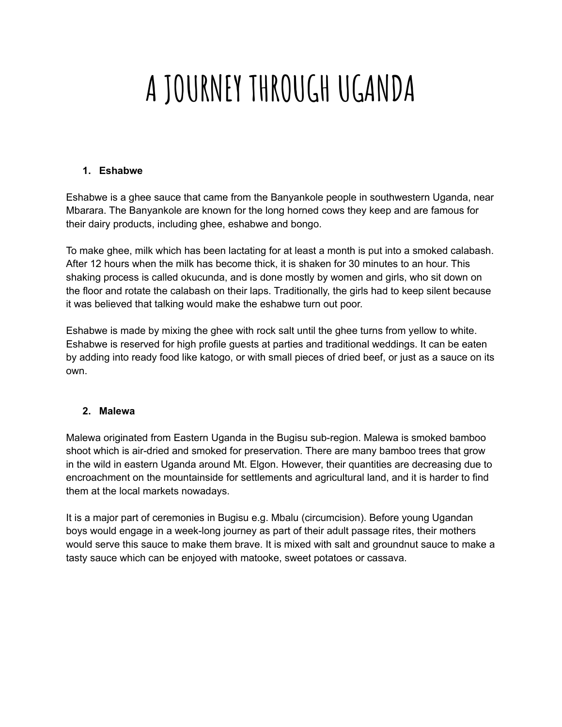## **A JOURNEY THROUGH UGANDA**

#### **1. Eshabwe**

Eshabwe is a ghee sauce that came from the Banyankole people in southwestern Uganda, near Mbarara. The Banyankole are known for the long horned cows they keep and are famous for their dairy products, including ghee, eshabwe and bongo.

To make ghee, milk which has been lactating for at least a month is put into a smoked calabash. After 12 hours when the milk has become thick, it is shaken for 30 minutes to an hour. This shaking process is called okucunda, and is done mostly by women and girls, who sit down on the floor and rotate the calabash on their laps. Traditionally, the girls had to keep silent because it was believed that talking would make the eshabwe turn out poor.

Eshabwe is made by mixing the ghee with rock salt until the ghee turns from yellow to white. Eshabwe is reserved for high profile guests at parties and traditional weddings. It can be eaten by adding into ready food like katogo, or with small pieces of dried beef, or just as a sauce on its own.

#### **2. Malewa**

Malewa originated from Eastern Uganda in the Bugisu sub-region. Malewa is smoked bamboo shoot which is air-dried and smoked for preservation. There are many bamboo trees that grow in the wild in eastern Uganda around Mt. Elgon. However, their quantities are decreasing due to encroachment on the mountainside for settlements and agricultural land, and it is harder to find them at the local markets nowadays.

It is a major part of ceremonies in Bugisu e.g. Mbalu (circumcision). Before young Ugandan boys would engage in a week-long journey as part of their adult passage rites, their mothers would serve this sauce to make them brave. It is mixed with salt and groundnut sauce to make a tasty sauce which can be enjoyed with matooke, sweet potatoes or cassava.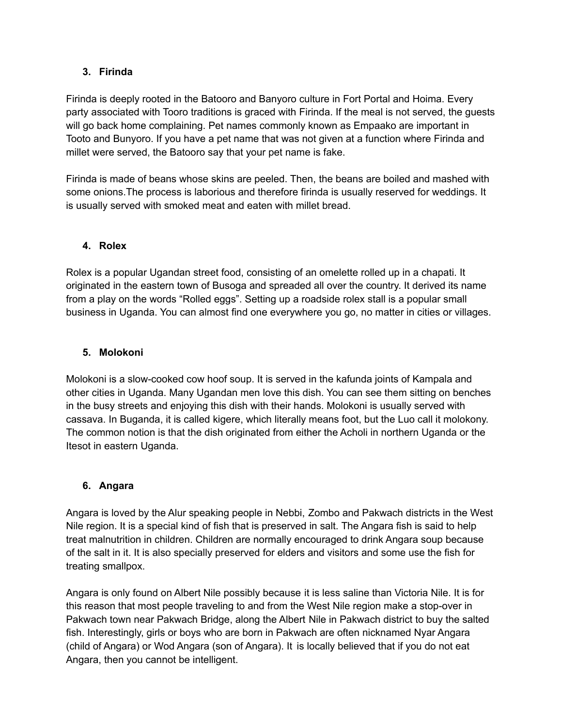#### **3. Firinda**

Firinda is deeply rooted in the Batooro and Banyoro culture in Fort Portal and Hoima. Every party associated with Tooro traditions is graced with Firinda. If the meal is not served, the guests will go back home complaining. Pet names commonly known as Empaako are important in Tooto and Bunyoro. If you have a pet name that was not given at a function where Firinda and millet were served, the Batooro say that your pet name is fake.

Firinda is made of beans whose skins are peeled. Then, the beans are boiled and mashed with some onions.The process is laborious and therefore firinda is usually reserved for weddings. It is usually served with smoked meat and eaten with millet bread.

#### **4. Rolex**

Rolex is a popular Ugandan street food, consisting of an omelette rolled up in a chapati. It originated in the eastern town of Busoga and spreaded all over the country. It derived its name from a play on the words "Rolled eggs". Setting up a roadside rolex stall is a popular small business in Uganda. You can almost find one everywhere you go, no matter in cities or villages.

#### **5. Molokoni**

Molokoni is a slow-cooked cow hoof soup. It is served in the kafunda joints of Kampala and other cities in Uganda. Many Ugandan men love this dish. You can see them sitting on benches in the busy streets and enjoying this dish with their hands. Molokoni is usually served with cassava. In Buganda, it is called kigere, which literally means foot, but the Luo call it molokony. The common notion is that the dish originated from either the Acholi in northern Uganda or the Itesot in eastern Uganda.

#### **6. Angara**

Angara is loved by the Alur speaking people in Nebbi, Zombo and Pakwach districts in the West Nile region. It is a special kind of fish that is preserved in salt. The Angara fish is said to help treat malnutrition in children. Children are normally encouraged to drink Angara soup because of the salt in it. It is also specially preserved for elders and visitors and some use the fish for treating smallpox.

Angara is only found on Albert Nile possibly because it is less saline than Victoria Nile. It is for this reason that most people traveling to and from the West Nile region make a stop-over in Pakwach town near Pakwach Bridge, along the Albert Nile in Pakwach district to buy the salted fish. Interestingly, girls or boys who are born in Pakwach are often nicknamed Nyar Angara (child of Angara) or Wod Angara (son of Angara). It is locally believed that if you do not eat Angara, then you cannot be intelligent.